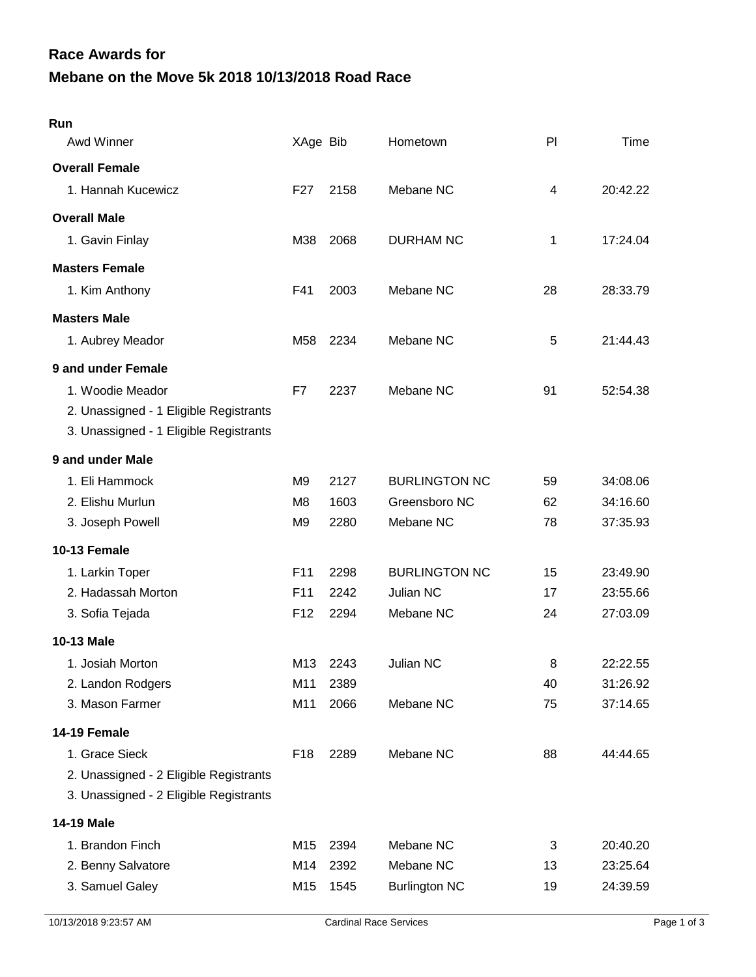## **Mebane on the Move 5k 2018 10/13/2018 Road Race Race Awards for**

| Run                                    |                 |      |                      |    |          |
|----------------------------------------|-----------------|------|----------------------|----|----------|
| Awd Winner                             | XAge Bib        |      | Hometown             | PI | Time     |
| <b>Overall Female</b>                  |                 |      |                      |    |          |
| 1. Hannah Kucewicz                     | F <sub>27</sub> | 2158 | Mebane NC            | 4  | 20:42.22 |
| <b>Overall Male</b>                    |                 |      |                      |    |          |
| 1. Gavin Finlay                        | M38             | 2068 | <b>DURHAM NC</b>     | 1  | 17:24.04 |
| <b>Masters Female</b>                  |                 |      |                      |    |          |
| 1. Kim Anthony                         | F41             | 2003 | Mebane NC            | 28 | 28:33.79 |
| <b>Masters Male</b>                    |                 |      |                      |    |          |
| 1. Aubrey Meador                       | M58             | 2234 | Mebane NC            | 5  | 21:44.43 |
| 9 and under Female                     |                 |      |                      |    |          |
| 1. Woodie Meador                       | F7              | 2237 | Mebane NC            | 91 | 52:54.38 |
| 2. Unassigned - 1 Eligible Registrants |                 |      |                      |    |          |
| 3. Unassigned - 1 Eligible Registrants |                 |      |                      |    |          |
| 9 and under Male                       |                 |      |                      |    |          |
| 1. Eli Hammock                         | M <sub>9</sub>  | 2127 | <b>BURLINGTON NC</b> | 59 | 34:08.06 |
| 2. Elishu Murlun                       | M <sub>8</sub>  | 1603 | Greensboro NC        | 62 | 34:16.60 |
| 3. Joseph Powell                       | M <sub>9</sub>  | 2280 | Mebane NC            | 78 | 37:35.93 |
| 10-13 Female                           |                 |      |                      |    |          |
| 1. Larkin Toper                        | F11             | 2298 | <b>BURLINGTON NC</b> | 15 | 23:49.90 |
| 2. Hadassah Morton                     | F <sub>11</sub> | 2242 | Julian NC            | 17 | 23:55.66 |
| 3. Sofia Tejada                        | F <sub>12</sub> | 2294 | Mebane NC            | 24 | 27:03.09 |
| <b>10-13 Male</b>                      |                 |      |                      |    |          |
| 1. Josiah Morton                       | M13             | 2243 | Julian NC            | 8  | 22:22.55 |
| 2. Landon Rodgers                      | M11             | 2389 |                      | 40 | 31:26.92 |
| 3. Mason Farmer                        | M11             | 2066 | Mebane NC            | 75 | 37:14.65 |
| 14-19 Female                           |                 |      |                      |    |          |
| 1. Grace Sieck                         | F <sub>18</sub> | 2289 | Mebane NC            | 88 | 44:44.65 |
| 2. Unassigned - 2 Eligible Registrants |                 |      |                      |    |          |
| 3. Unassigned - 2 Eligible Registrants |                 |      |                      |    |          |
| 14-19 Male                             |                 |      |                      |    |          |
| 1. Brandon Finch                       | M15             | 2394 | Mebane NC            | 3  | 20:40.20 |
| 2. Benny Salvatore                     | M14             | 2392 | Mebane NC            | 13 | 23:25.64 |
| 3. Samuel Galey                        | M15             | 1545 | <b>Burlington NC</b> | 19 | 24:39.59 |
|                                        |                 |      |                      |    |          |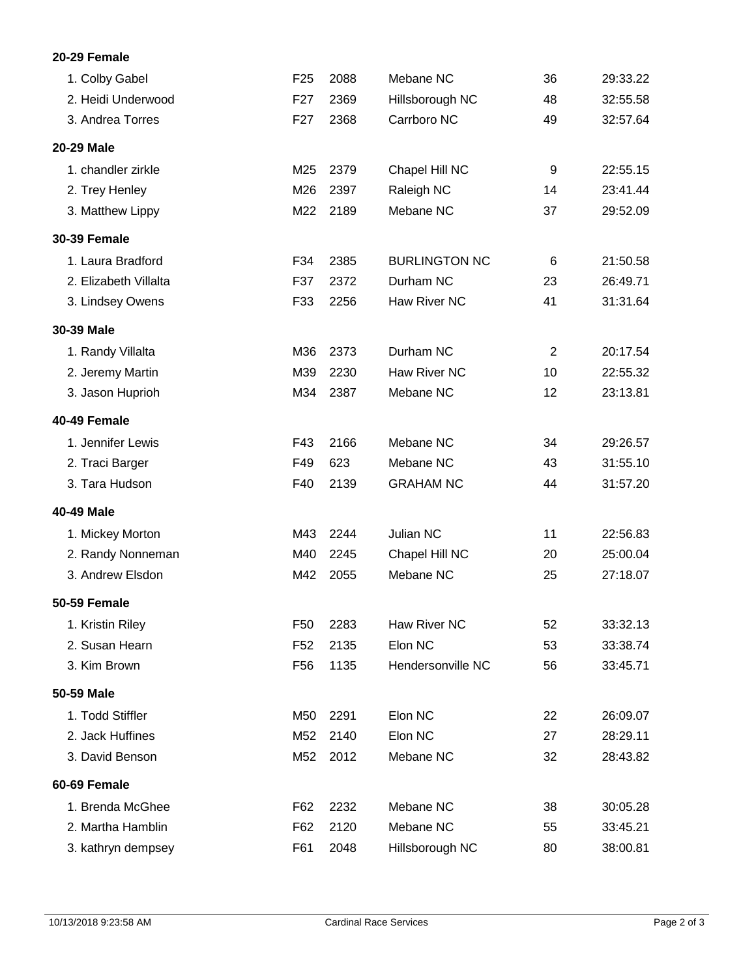## **20-29 Female**

| 1. Colby Gabel        | F <sub>25</sub> | 2088 | Mebane NC            | 36             | 29:33.22 |
|-----------------------|-----------------|------|----------------------|----------------|----------|
| 2. Heidi Underwood    | F27             | 2369 | Hillsborough NC      | 48             | 32:55.58 |
| 3. Andrea Torres      | F <sub>27</sub> | 2368 | Carrboro NC          | 49             | 32:57.64 |
| 20-29 Male            |                 |      |                      |                |          |
| 1. chandler zirkle    | M25             | 2379 | Chapel Hill NC       | 9              | 22:55.15 |
| 2. Trey Henley        | M26             | 2397 | Raleigh NC           | 14             | 23:41.44 |
| 3. Matthew Lippy      | M22             | 2189 | Mebane NC            | 37             | 29:52.09 |
| <b>30-39 Female</b>   |                 |      |                      |                |          |
| 1. Laura Bradford     | F34             | 2385 | <b>BURLINGTON NC</b> | 6              | 21:50.58 |
| 2. Elizabeth Villalta | F37             | 2372 | Durham NC            | 23             | 26:49.71 |
| 3. Lindsey Owens      | F33             | 2256 | Haw River NC         | 41             | 31:31.64 |
| 30-39 Male            |                 |      |                      |                |          |
| 1. Randy Villalta     | M36             | 2373 | Durham NC            | $\overline{2}$ | 20:17.54 |
| 2. Jeremy Martin      | M39             | 2230 | Haw River NC         | 10             | 22:55.32 |
| 3. Jason Huprioh      | M34             | 2387 | Mebane NC            | 12             | 23:13.81 |
| 40-49 Female          |                 |      |                      |                |          |
| 1. Jennifer Lewis     | F43             | 2166 | Mebane NC            | 34             | 29:26.57 |
| 2. Traci Barger       | F49             | 623  | Mebane NC            | 43             | 31:55.10 |
| 3. Tara Hudson        | F40             | 2139 | <b>GRAHAM NC</b>     | 44             | 31:57.20 |
| 40-49 Male            |                 |      |                      |                |          |
| 1. Mickey Morton      | M43             | 2244 | Julian NC            | 11             | 22:56.83 |
| 2. Randy Nonneman     | M40             | 2245 | Chapel Hill NC       | 20             | 25:00.04 |
| 3. Andrew Elsdon      | M42             | 2055 | Mebane NC            | 25             | 27:18.07 |
| <b>50-59 Female</b>   |                 |      |                      |                |          |
| 1. Kristin Riley      | F <sub>50</sub> | 2283 | Haw River NC         | 52             | 33:32.13 |
| 2. Susan Hearn        | F <sub>52</sub> | 2135 | Elon NC              | 53             | 33:38.74 |
| 3. Kim Brown          | F <sub>56</sub> | 1135 | Hendersonville NC    | 56             | 33:45.71 |
| 50-59 Male            |                 |      |                      |                |          |
| 1. Todd Stiffler      | M50             | 2291 | Elon NC              | 22             | 26:09.07 |
| 2. Jack Huffines      | M52             | 2140 | Elon NC              | 27             | 28:29.11 |
| 3. David Benson       | M52             | 2012 | Mebane NC            | 32             | 28:43.82 |
| 60-69 Female          |                 |      |                      |                |          |
| 1. Brenda McGhee      | F62             | 2232 | Mebane NC            | 38             | 30:05.28 |
| 2. Martha Hamblin     | F62             | 2120 | Mebane NC            | 55             | 33:45.21 |
| 3. kathryn dempsey    | F61             | 2048 | Hillsborough NC      | 80             | 38:00.81 |